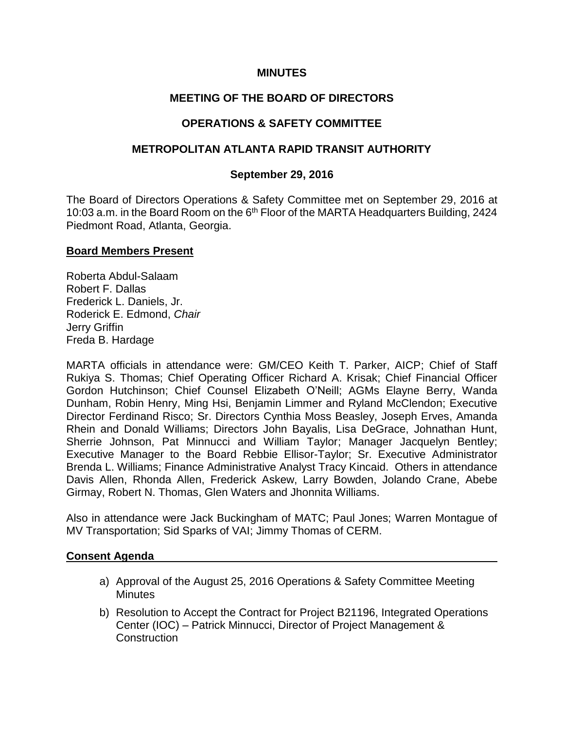## **MINUTES**

## **MEETING OF THE BOARD OF DIRECTORS**

## **OPERATIONS & SAFETY COMMITTEE**

#### **METROPOLITAN ATLANTA RAPID TRANSIT AUTHORITY**

#### **September 29, 2016**

The Board of Directors Operations & Safety Committee met on September 29, 2016 at 10:03 a.m. in the Board Room on the 6<sup>th</sup> Floor of the MARTA Headquarters Building, 2424 Piedmont Road, Atlanta, Georgia.

#### **Board Members Present**

Roberta Abdul-Salaam Robert F. Dallas Frederick L. Daniels, Jr. Roderick E. Edmond, *Chair* Jerry Griffin Freda B. Hardage

MARTA officials in attendance were: GM/CEO Keith T. Parker, AICP; Chief of Staff Rukiya S. Thomas; Chief Operating Officer Richard A. Krisak; Chief Financial Officer Gordon Hutchinson; Chief Counsel Elizabeth O'Neill; AGMs Elayne Berry, Wanda Dunham, Robin Henry, Ming Hsi, Benjamin Limmer and Ryland McClendon; Executive Director Ferdinand Risco; Sr. Directors Cynthia Moss Beasley, Joseph Erves, Amanda Rhein and Donald Williams; Directors John Bayalis, Lisa DeGrace, Johnathan Hunt, Sherrie Johnson, Pat Minnucci and William Taylor; Manager Jacquelyn Bentley; Executive Manager to the Board Rebbie Ellisor-Taylor; Sr. Executive Administrator Brenda L. Williams; Finance Administrative Analyst Tracy Kincaid. Others in attendance Davis Allen, Rhonda Allen, Frederick Askew, Larry Bowden, Jolando Crane, Abebe Girmay, Robert N. Thomas, Glen Waters and Jhonnita Williams.

Also in attendance were Jack Buckingham of MATC; Paul Jones; Warren Montague of MV Transportation; Sid Sparks of VAI; Jimmy Thomas of CERM.

#### **Consent Agenda**

- a) Approval of the August 25, 2016 Operations & Safety Committee Meeting **Minutes**
- b) Resolution to Accept the Contract for Project B21196, Integrated Operations Center (IOC) – Patrick Minnucci, Director of Project Management & **Construction**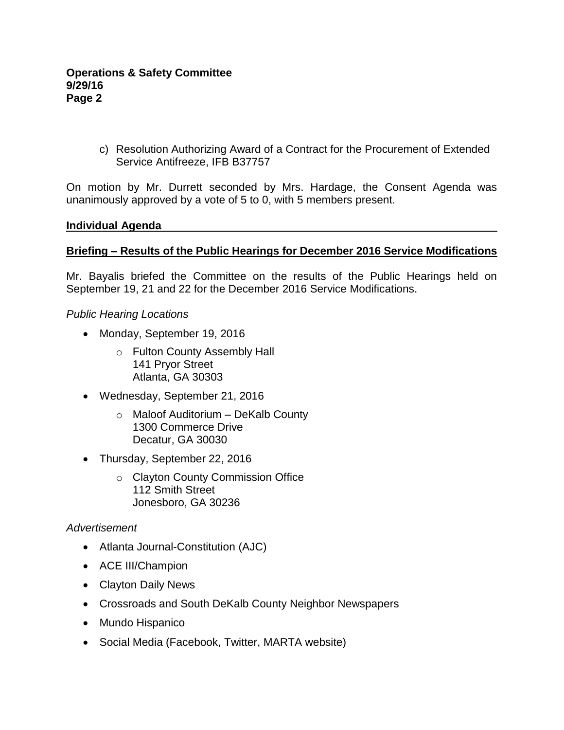c) Resolution Authorizing Award of a Contract for the Procurement of Extended Service Antifreeze, IFB B37757

On motion by Mr. Durrett seconded by Mrs. Hardage, the Consent Agenda was unanimously approved by a vote of 5 to 0, with 5 members present.

#### **Individual Agenda**

#### **Briefing – Results of the Public Hearings for December 2016 Service Modifications**

Mr. Bayalis briefed the Committee on the results of the Public Hearings held on September 19, 21 and 22 for the December 2016 Service Modifications.

#### *Public Hearing Locations*

- Monday, September 19, 2016
	- o Fulton County Assembly Hall 141 Pryor Street Atlanta, GA 30303
- Wednesday, September 21, 2016
	- o Maloof Auditorium DeKalb County 1300 Commerce Drive Decatur, GA 30030
- Thursday, September 22, 2016
	- o Clayton County Commission Office 112 Smith Street Jonesboro, GA 30236

#### *Advertisement*

- Atlanta Journal-Constitution (AJC)
- ACE III/Champion
- Clayton Daily News
- Crossroads and South DeKalb County Neighbor Newspapers
- Mundo Hispanico
- Social Media (Facebook, Twitter, MARTA website)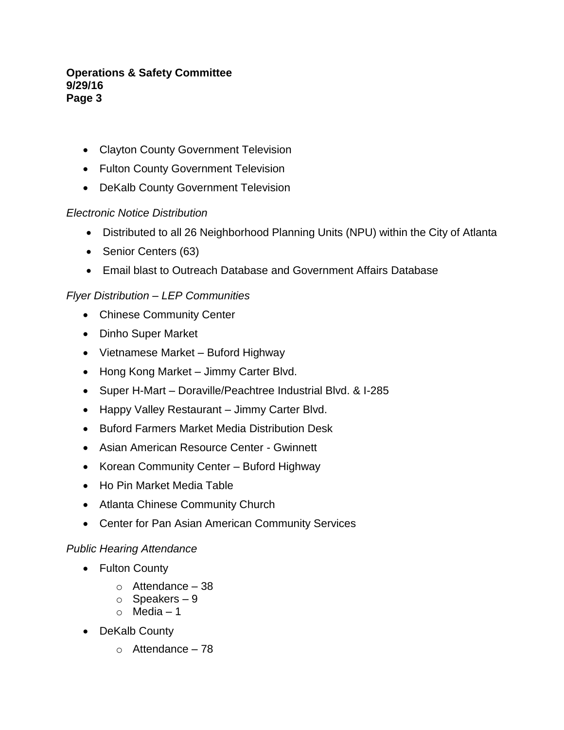- Clayton County Government Television
- Fulton County Government Television
- DeKalb County Government Television

# *Electronic Notice Distribution*

- Distributed to all 26 Neighborhood Planning Units (NPU) within the City of Atlanta
- Senior Centers (63)
- Email blast to Outreach Database and Government Affairs Database

# *Flyer Distribution – LEP Communities*

- Chinese Community Center
- Dinho Super Market
- Vietnamese Market Buford Highway
- Hong Kong Market Jimmy Carter Blvd.
- Super H-Mart Doraville/Peachtree Industrial Blvd. & I-285
- Happy Valley Restaurant Jimmy Carter Blvd.
- Buford Farmers Market Media Distribution Desk
- Asian American Resource Center Gwinnett
- Korean Community Center Buford Highway
- Ho Pin Market Media Table
- Atlanta Chinese Community Church
- Center for Pan Asian American Community Services

# *Public Hearing Attendance*

- Fulton County
	- $\circ$  Attendance 38
	- o Speakers 9
	- o Media 1
- DeKalb County
	- $\circ$  Attendance 78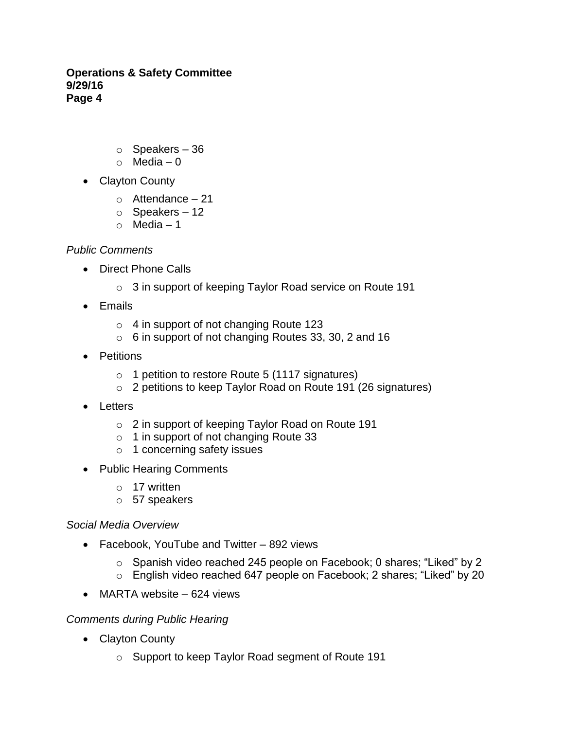- $\circ$  Speakers 36
- $\circ$  Media 0
- Clayton County
	- $\circ$  Attendance 21
	- $\circ$  Speakers 12
	- $\circ$  Media 1

## *Public Comments*

- Direct Phone Calls
	- o 3 in support of keeping Taylor Road service on Route 191
- $\bullet$  Fmails
	- o 4 in support of not changing Route 123
	- o 6 in support of not changing Routes 33, 30, 2 and 16
- Petitions
	- o 1 petition to restore Route 5 (1117 signatures)
	- o 2 petitions to keep Taylor Road on Route 191 (26 signatures)
- Letters
	- o 2 in support of keeping Taylor Road on Route 191
	- o 1 in support of not changing Route 33
	- o 1 concerning safety issues
- Public Hearing Comments
	- o 17 written
	- o 57 speakers

## *Social Media Overview*

- Facebook, YouTube and Twitter 892 views
	- o Spanish video reached 245 people on Facebook; 0 shares; "Liked" by 2
	- o English video reached 647 people on Facebook; 2 shares; "Liked" by 20
- MARTA website 624 views

# *Comments during Public Hearing*

- Clayton County
	- o Support to keep Taylor Road segment of Route 191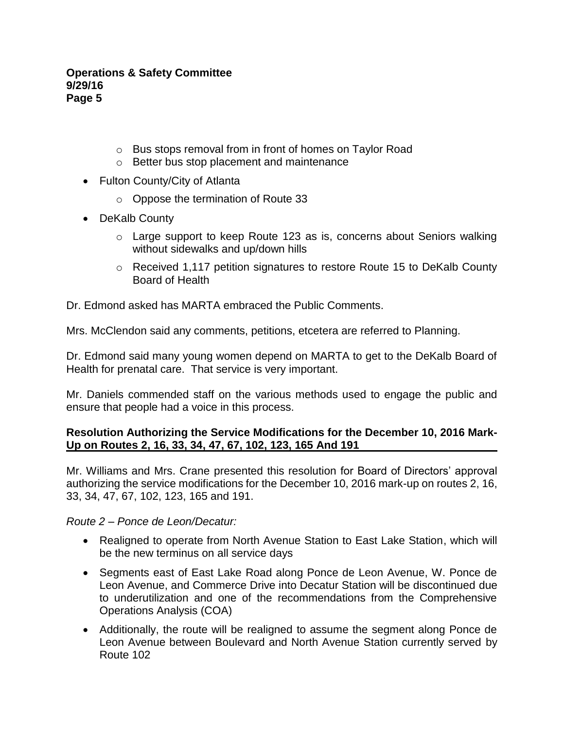- o Bus stops removal from in front of homes on Taylor Road
- o Better bus stop placement and maintenance
- Fulton County/City of Atlanta
	- o Oppose the termination of Route 33
- DeKalb County
	- o Large support to keep Route 123 as is, concerns about Seniors walking without sidewalks and up/down hills
	- o Received 1,117 petition signatures to restore Route 15 to DeKalb County Board of Health

Dr. Edmond asked has MARTA embraced the Public Comments.

Mrs. McClendon said any comments, petitions, etcetera are referred to Planning.

Dr. Edmond said many young women depend on MARTA to get to the DeKalb Board of Health for prenatal care. That service is very important.

Mr. Daniels commended staff on the various methods used to engage the public and ensure that people had a voice in this process.

## **Resolution Authorizing the Service Modifications for the December 10, 2016 Mark-Up on Routes 2, 16, 33, 34, 47, 67, 102, 123, 165 And 191**

Mr. Williams and Mrs. Crane presented this resolution for Board of Directors' approval authorizing the service modifications for the December 10, 2016 mark-up on routes 2, 16, 33, 34, 47, 67, 102, 123, 165 and 191.

*Route 2 – Ponce de Leon/Decatur:*

- Realigned to operate from North Avenue Station to East Lake Station, which will be the new terminus on all service days
- Segments east of East Lake Road along Ponce de Leon Avenue, W. Ponce de Leon Avenue, and Commerce Drive into Decatur Station will be discontinued due to underutilization and one of the recommendations from the Comprehensive Operations Analysis (COA)
- Additionally, the route will be realigned to assume the segment along Ponce de Leon Avenue between Boulevard and North Avenue Station currently served by Route 102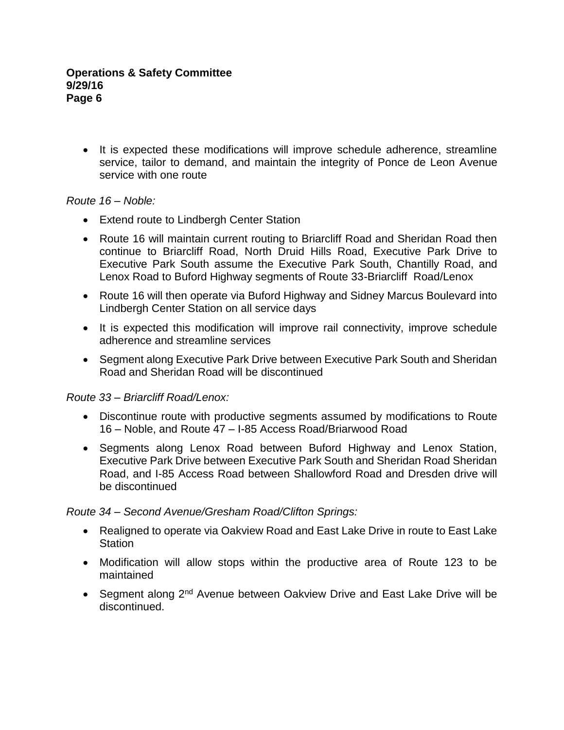• It is expected these modifications will improve schedule adherence, streamline service, tailor to demand, and maintain the integrity of Ponce de Leon Avenue service with one route

## *Route 16 – Noble:*

- Extend route to Lindbergh Center Station
- Route 16 will maintain current routing to Briarcliff Road and Sheridan Road then continue to Briarcliff Road, North Druid Hills Road, Executive Park Drive to Executive Park South assume the Executive Park South, Chantilly Road, and Lenox Road to Buford Highway segments of Route 33-Briarcliff Road/Lenox
- Route 16 will then operate via Buford Highway and Sidney Marcus Boulevard into Lindbergh Center Station on all service days
- It is expected this modification will improve rail connectivity, improve schedule adherence and streamline services
- Segment along Executive Park Drive between Executive Park South and Sheridan Road and Sheridan Road will be discontinued

## *Route 33 – Briarcliff Road/Lenox:*

- Discontinue route with productive segments assumed by modifications to Route 16 *–* Noble, and Route 47 *–* I-85 Access Road/Briarwood Road
- Segments along Lenox Road between Buford Highway and Lenox Station, Executive Park Drive between Executive Park South and Sheridan Road Sheridan Road, and I-85 Access Road between Shallowford Road and Dresden drive will be discontinued

## *Route 34 – Second Avenue/Gresham Road/Clifton Springs:*

- Realigned to operate via Oakview Road and East Lake Drive in route to East Lake **Station**
- Modification will allow stops within the productive area of Route 123 to be maintained
- Segment along 2<sup>nd</sup> Avenue between Oakview Drive and East Lake Drive will be discontinued.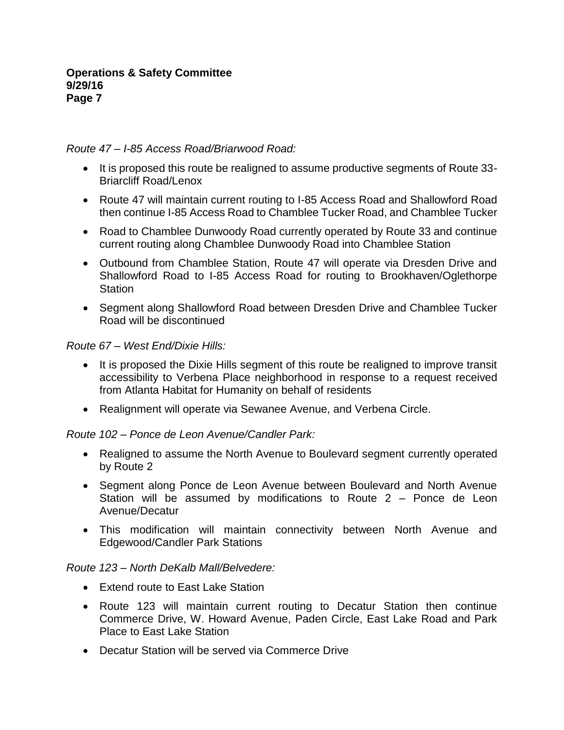## *Route 47 – I-85 Access Road/Briarwood Road:*

- It is proposed this route be realigned to assume productive segments of Route 33-Briarcliff Road/Lenox
- Route 47 will maintain current routing to I-85 Access Road and Shallowford Road then continue I-85 Access Road to Chamblee Tucker Road, and Chamblee Tucker
- Road to Chamblee Dunwoody Road currently operated by Route 33 and continue current routing along Chamblee Dunwoody Road into Chamblee Station
- Outbound from Chamblee Station, Route 47 will operate via Dresden Drive and Shallowford Road to I-85 Access Road for routing to Brookhaven/Oglethorpe **Station**
- Segment along Shallowford Road between Dresden Drive and Chamblee Tucker Road will be discontinued

## *Route 67 – West End/Dixie Hills:*

- It is proposed the Dixie Hills segment of this route be realigned to improve transit accessibility to Verbena Place neighborhood in response to a request received from Atlanta Habitat for Humanity on behalf of residents
- Realignment will operate via Sewanee Avenue, and Verbena Circle.

## *Route 102 – Ponce de Leon Avenue/Candler Park:*

- Realigned to assume the North Avenue to Boulevard segment currently operated by Route 2
- Segment along Ponce de Leon Avenue between Boulevard and North Avenue Station will be assumed by modifications to Route 2 *–* Ponce de Leon Avenue/Decatur
- This modification will maintain connectivity between North Avenue and Edgewood/Candler Park Stations

## *Route 123 – North DeKalb Mall/Belvedere:*

- Extend route to East Lake Station
- Route 123 will maintain current routing to Decatur Station then continue Commerce Drive, W. Howard Avenue, Paden Circle, East Lake Road and Park Place to East Lake Station
- Decatur Station will be served via Commerce Drive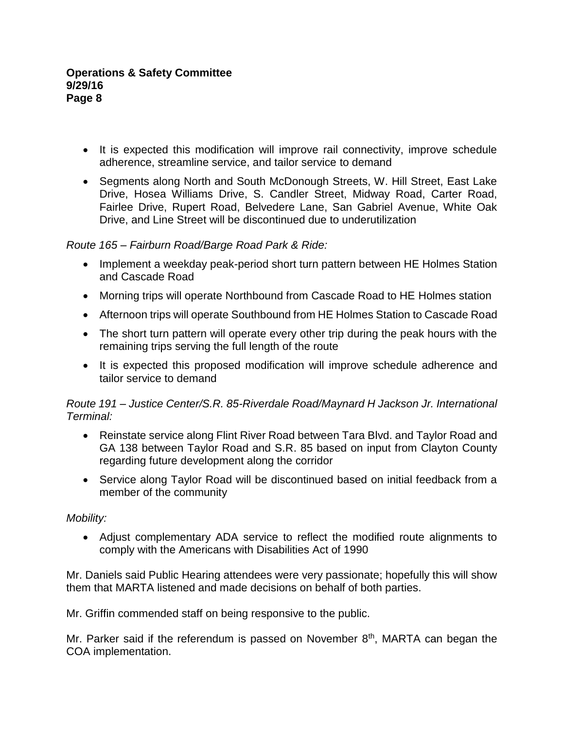- It is expected this modification will improve rail connectivity, improve schedule adherence, streamline service, and tailor service to demand
- Segments along North and South McDonough Streets, W. Hill Street, East Lake Drive, Hosea Williams Drive, S. Candler Street, Midway Road, Carter Road, Fairlee Drive, Rupert Road, Belvedere Lane, San Gabriel Avenue, White Oak Drive, and Line Street will be discontinued due to underutilization

## *Route 165 – Fairburn Road/Barge Road Park & Ride:*

- Implement a weekday peak-period short turn pattern between HE Holmes Station and Cascade Road
- Morning trips will operate Northbound from Cascade Road to HE Holmes station
- Afternoon trips will operate Southbound from HE Holmes Station to Cascade Road
- The short turn pattern will operate every other trip during the peak hours with the remaining trips serving the full length of the route
- It is expected this proposed modification will improve schedule adherence and tailor service to demand

## *Route 191 – Justice Center/S.R. 85-Riverdale Road/Maynard H Jackson Jr. International Terminal:*

- Reinstate service along Flint River Road between Tara Blvd. and Taylor Road and GA 138 between Taylor Road and S.R. 85 based on input from Clayton County regarding future development along the corridor
- Service along Taylor Road will be discontinued based on initial feedback from a member of the community

## *Mobility:*

 Adjust complementary ADA service to reflect the modified route alignments to comply with the Americans with Disabilities Act of 1990

Mr. Daniels said Public Hearing attendees were very passionate; hopefully this will show them that MARTA listened and made decisions on behalf of both parties.

Mr. Griffin commended staff on being responsive to the public.

Mr. Parker said if the referendum is passed on November  $8<sup>th</sup>$ , MARTA can began the COA implementation.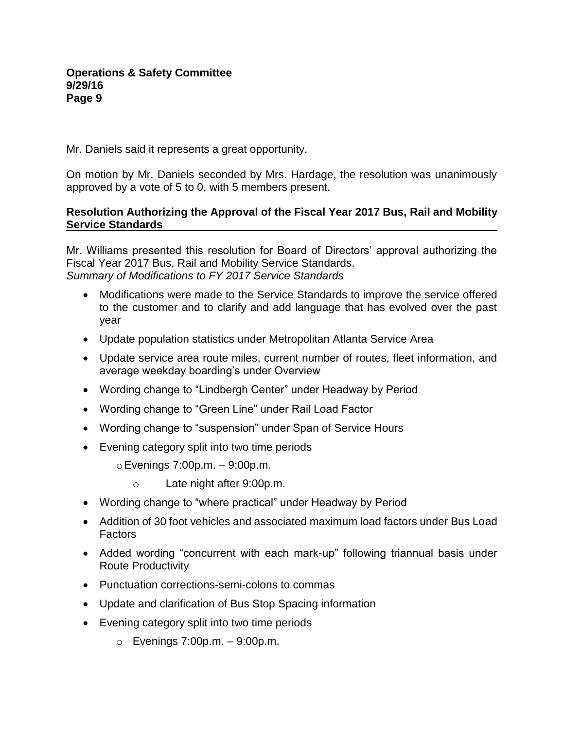Mr. Daniels said it represents a great opportunity.

On motion by Mr. Daniels seconded by Mrs. Hardage, the resolution was unanimously approved by a vote of 5 to 0, with 5 members present.

## **Resolution Authorizing the Approval of the Fiscal Year 2017 Bus, Rail and Mobility Service Standards**

Mr. Williams presented this resolution for Board of Directors' approval authorizing the Fiscal Year 2017 Bus, Rail and Mobility Service Standards. *Summary of Modifications to FY 2017 Service Standards*

- Modifications were made to the Service Standards to improve the service offered to the customer and to clarify and add language that has evolved over the past year
- Update population statistics under Metropolitan Atlanta Service Area
- Update service area route miles, current number of routes, fleet information, and average weekday boarding's under Overview
- Wording change to "Lindbergh Center" under Headway by Period
- Wording change to "Green Line" under Rail Load Factor
- Wording change to "suspension" under Span of Service Hours
- Evening category split into two time periods
	- $\circ$  Evenings 7:00p.m.  $-$  9:00p.m.
		- o Late night after 9:00p.m.
- Wording change to "where practical" under Headway by Period
- Addition of 30 foot vehicles and associated maximum load factors under Bus Load Factors
- Added wording "concurrent with each mark-up" following triannual basis under Route Productivity
- Punctuation corrections-semi-colons to commas
- Update and clarification of Bus Stop Spacing information
- Evening category split into two time periods
	- $\circ$  Evenings 7:00p.m.  $-9:00$ p.m.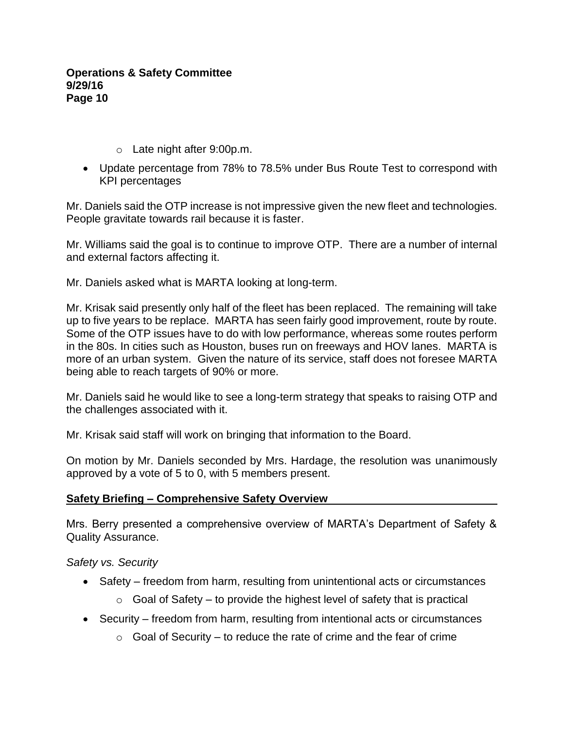- o Late night after 9:00p.m.
- Update percentage from 78% to 78.5% under Bus Route Test to correspond with KPI percentages

Mr. Daniels said the OTP increase is not impressive given the new fleet and technologies. People gravitate towards rail because it is faster.

Mr. Williams said the goal is to continue to improve OTP. There are a number of internal and external factors affecting it.

Mr. Daniels asked what is MARTA looking at long-term.

Mr. Krisak said presently only half of the fleet has been replaced. The remaining will take up to five years to be replace. MARTA has seen fairly good improvement, route by route. Some of the OTP issues have to do with low performance, whereas some routes perform in the 80s. In cities such as Houston, buses run on freeways and HOV lanes. MARTA is more of an urban system. Given the nature of its service, staff does not foresee MARTA being able to reach targets of 90% or more.

Mr. Daniels said he would like to see a long-term strategy that speaks to raising OTP and the challenges associated with it.

Mr. Krisak said staff will work on bringing that information to the Board.

On motion by Mr. Daniels seconded by Mrs. Hardage, the resolution was unanimously approved by a vote of 5 to 0, with 5 members present.

## **Safety Briefing – Comprehensive Safety Overview**

Mrs. Berry presented a comprehensive overview of MARTA's Department of Safety & Quality Assurance.

*Safety vs. Security*

- Safety freedom from harm, resulting from unintentional acts or circumstances
	- $\circ$  Goal of Safety to provide the highest level of safety that is practical
- Security freedom from harm, resulting from intentional acts or circumstances
	- $\circ$  Goal of Security to reduce the rate of crime and the fear of crime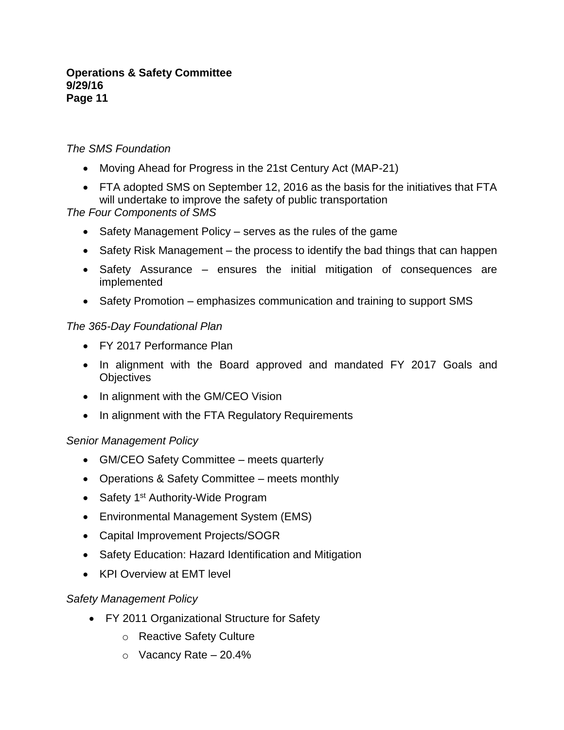## *The SMS Foundation*

- Moving Ahead for Progress in the 21st Century Act (MAP-21)
- FTA adopted SMS on September 12, 2016 as the basis for the initiatives that FTA will undertake to improve the safety of public transportation

## *The Four Components of SMS*

- Safety Management Policy serves as the rules of the game
- Safety Risk Management the process to identify the bad things that can happen
- Safety Assurance ensures the initial mitigation of consequences are implemented
- Safety Promotion emphasizes communication and training to support SMS

## *The 365-Day Foundational Plan*

- FY 2017 Performance Plan
- In alignment with the Board approved and mandated FY 2017 Goals and **Objectives**
- In alignment with the GM/CEO Vision
- In alignment with the FTA Regulatory Requirements

## *Senior Management Policy*

- GM/CEO Safety Committee meets quarterly
- Operations & Safety Committee meets monthly
- Safety 1<sup>st</sup> Authority-Wide Program
- Environmental Management System (EMS)
- Capital Improvement Projects/SOGR
- Safety Education: Hazard Identification and Mitigation
- KPI Overview at EMT level

## *Safety Management Policy*

- FY 2011 Organizational Structure for Safety
	- o Reactive Safety Culture
	- $\circ$  Vacancy Rate 20.4%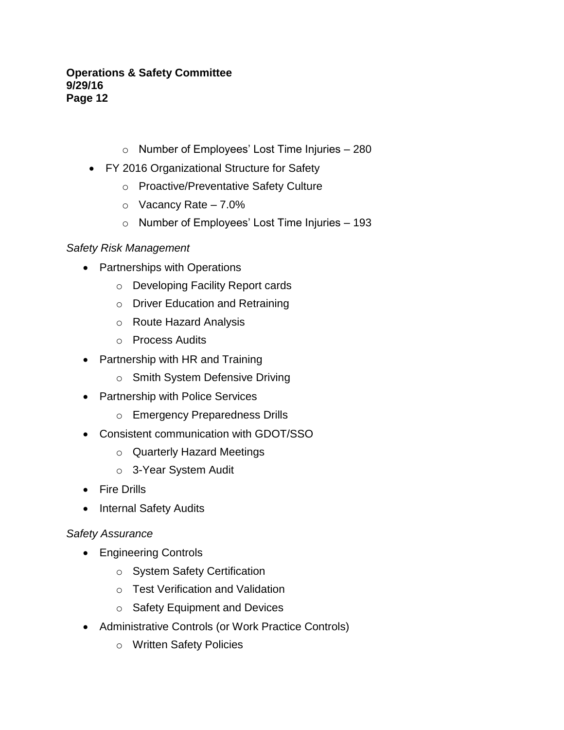- o Number of Employees' Lost Time Injuries 280
- FY 2016 Organizational Structure for Safety
	- o Proactive/Preventative Safety Culture
	- $\circ$  Vacancy Rate 7.0%
	- o Number of Employees' Lost Time Injuries 193

# *Safety Risk Management*

- Partnerships with Operations
	- o Developing Facility Report cards
	- o Driver Education and Retraining
	- o Route Hazard Analysis
	- o Process Audits
- Partnership with HR and Training
	- o Smith System Defensive Driving
- Partnership with Police Services
	- o Emergency Preparedness Drills
- Consistent communication with GDOT/SSO
	- o Quarterly Hazard Meetings
	- o 3-Year System Audit
- Fire Drills
- Internal Safety Audits

# *Safety Assurance*

- Engineering Controls
	- o System Safety Certification
	- o Test Verification and Validation
	- o Safety Equipment and Devices
- Administrative Controls (or Work Practice Controls)
	- o Written Safety Policies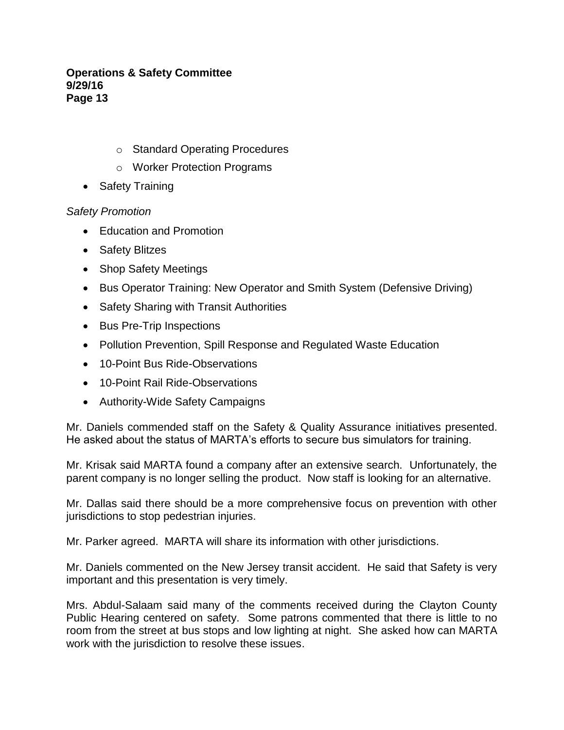- o Standard Operating Procedures
- o Worker Protection Programs
- Safety Training

## *Safety Promotion*

- Education and Promotion
- Safety Blitzes
- Shop Safety Meetings
- Bus Operator Training: New Operator and Smith System (Defensive Driving)
- Safety Sharing with Transit Authorities
- Bus Pre-Trip Inspections
- Pollution Prevention, Spill Response and Regulated Waste Education
- 10-Point Bus Ride-Observations
- 10-Point Rail Ride-Observations
- Authority-Wide Safety Campaigns

Mr. Daniels commended staff on the Safety & Quality Assurance initiatives presented. He asked about the status of MARTA's efforts to secure bus simulators for training.

Mr. Krisak said MARTA found a company after an extensive search. Unfortunately, the parent company is no longer selling the product. Now staff is looking for an alternative.

Mr. Dallas said there should be a more comprehensive focus on prevention with other jurisdictions to stop pedestrian injuries.

Mr. Parker agreed. MARTA will share its information with other jurisdictions.

Mr. Daniels commented on the New Jersey transit accident. He said that Safety is very important and this presentation is very timely.

Mrs. Abdul-Salaam said many of the comments received during the Clayton County Public Hearing centered on safety. Some patrons commented that there is little to no room from the street at bus stops and low lighting at night. She asked how can MARTA work with the jurisdiction to resolve these issues.